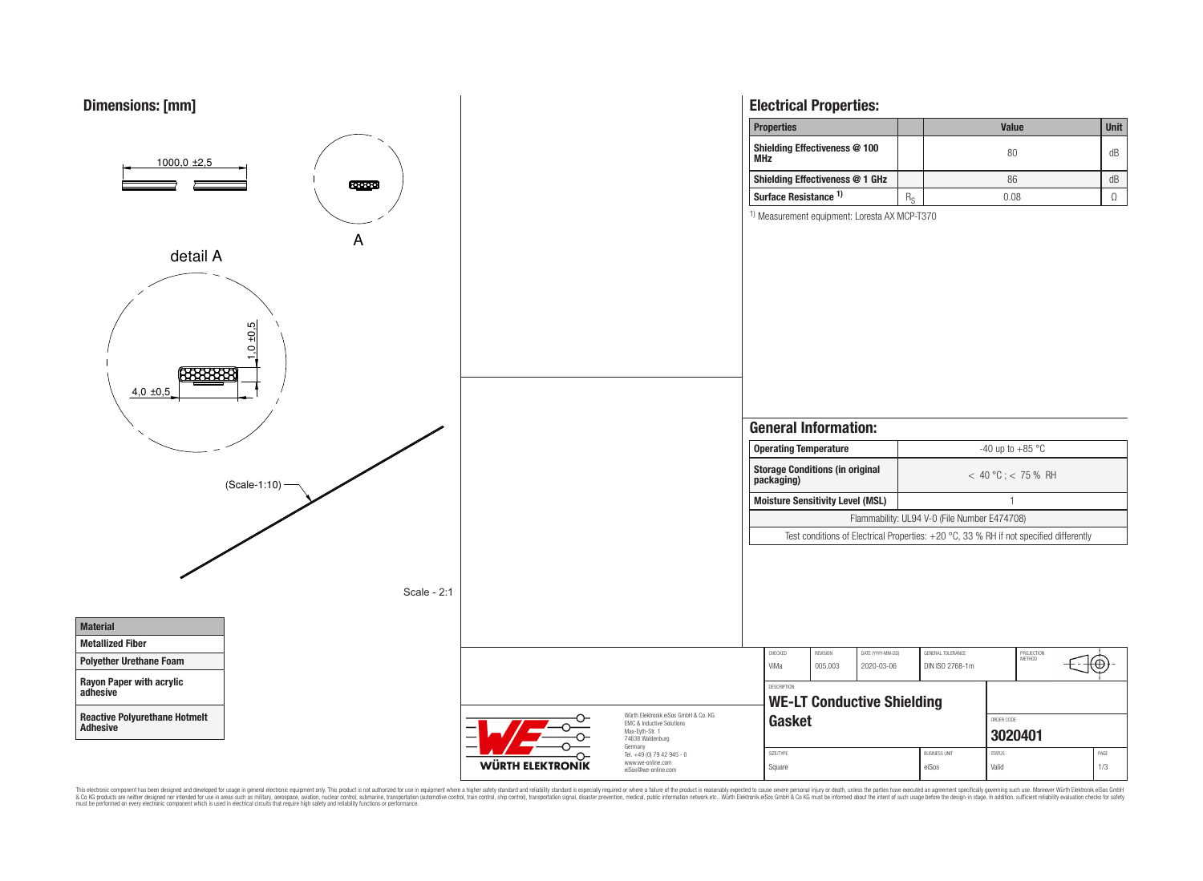

This electronic component has been designed and developed for usage in general electronic equipment only. This product is not authorized for use in equipment where a higher safely standard and reliability standard si espec & Ook product a label and the membed of the seasuch as marked and as which such a membed and the such assume that income in the seasuch and the simulation and the such assume that include to the such a membed and the such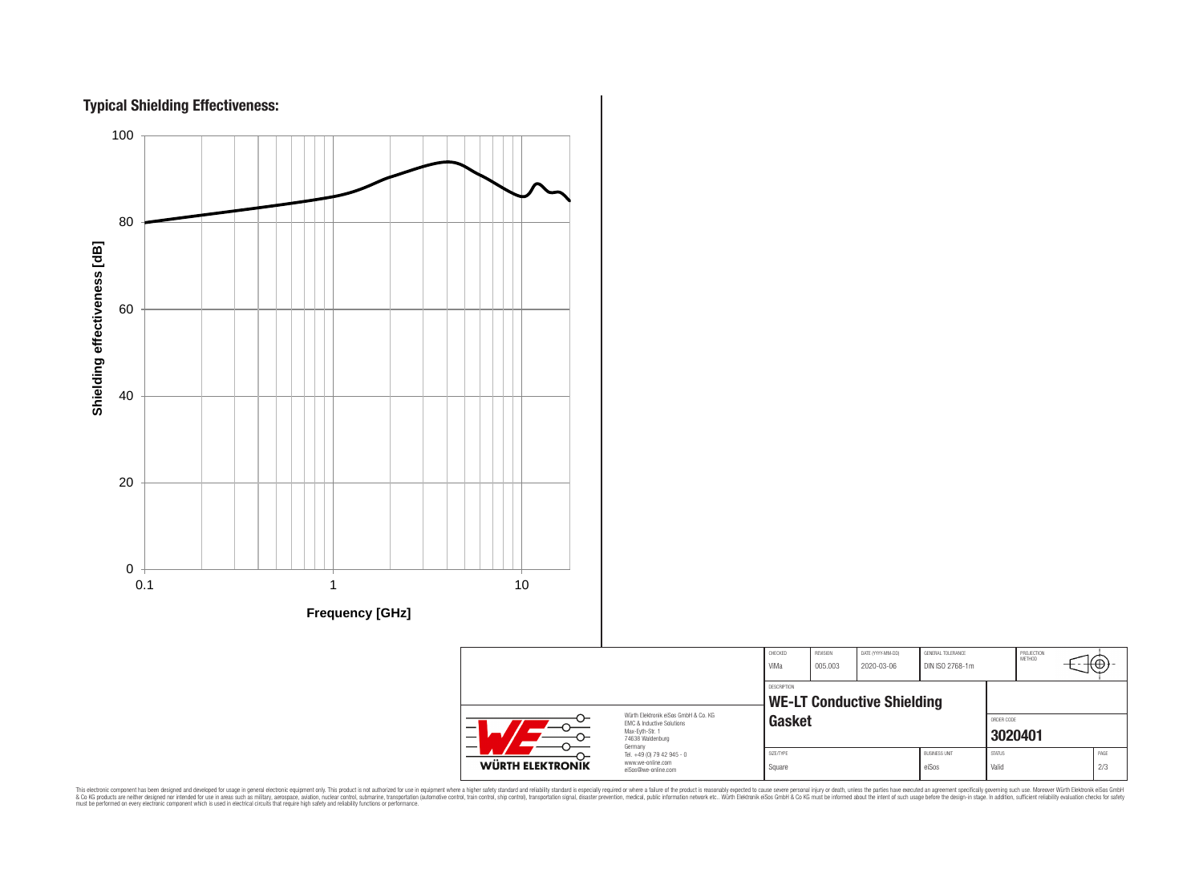



CHECKED REVISION DATE (YYYY-MM-DD) GENERAL TOLERANCE PROJECTION<br>METHOD ՜⊕ ViMa 005.003 2020-03-06 DIN ISO 2768-1m DESCRIPTION **WE-LT Conductive Shielding** Würth Elektronik eiSos GmbH & Co. KG Gasket **Gasket** EMC & Inductive Solutions Max-Eyth-Str. 1 **[3020401](https://katalog.we-online.de/en/pbs/WE-LT/3020401)** 74638 Waldenburg Germany Tel. +49 (0) 79 42 945 - 0 SIZE/TYPE BUSINESS UNIT STATUS PAGE www.we-online.com WÜRTH ELEKTRONIK Square either either ein van die eiSos van die Valid van die 2/3 eiSos@we-online.com

This electronic component has been designed and developed for usage in general electronic equipment only. This product is not authorized for subserved requipment where a higher selection equipment where a higher selection